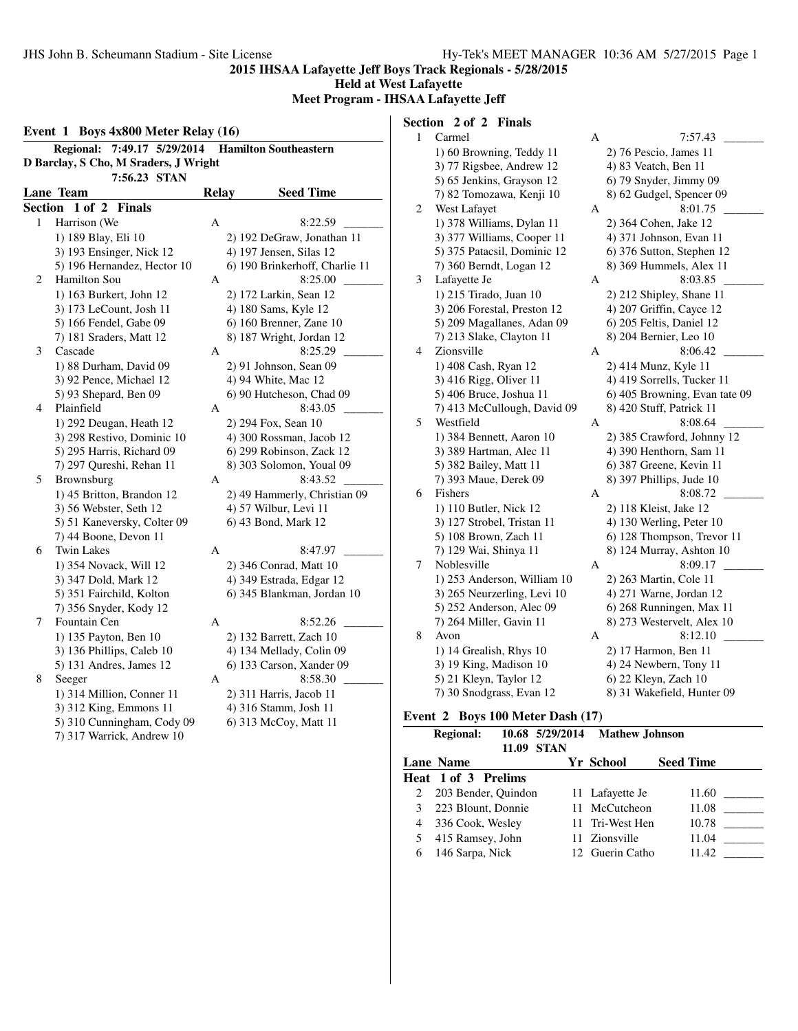**Held at West Lafayette**

**Meet Program - IHSAA Lafayette Jeff**

|                | 7:49.17 5/29/2014<br><b>Regional:</b> |              | <b>Hamilton Southeastern</b>   |
|----------------|---------------------------------------|--------------|--------------------------------|
|                | D Barclay, S Cho, M Sraders, J Wright |              |                                |
|                | 7:56.23 STAN                          |              |                                |
|                | Lane Team                             | <b>Relay</b> | <b>Seed Time</b>               |
| <b>Section</b> | 1 of 2<br><b>Finals</b>               |              |                                |
| 1              | Harrison (We                          | А            | 8:22.59                        |
|                | 1) 189 Blay, Eli 10                   |              | 2) 192 DeGraw, Jonathan 11     |
|                | 3) 193 Ensinger, Nick 12              |              | 4) 197 Jensen, Silas 12        |
|                | 5) 196 Hernandez, Hector 10           |              | 6) 190 Brinkerhoff, Charlie 11 |
| 2              | Hamilton Sou                          | А            | 8:25.00                        |
|                | 1) 163 Burkert, John 12               |              | 2) 172 Larkin, Sean 12         |
|                | 3) 173 LeCount, Josh 11               |              | 4) 180 Sams, Kyle 12           |
|                | 5) 166 Fendel, Gabe 09                |              | 6) 160 Brenner, Zane 10        |
|                | 7) 181 Sraders, Matt 12               |              | 8) 187 Wright, Jordan 12       |
| 3              | Cascade                               | А            | 8:25.29                        |
|                | 1) 88 Durham, David 09                |              | $2)$ 91 Johnson, Sean 09       |
|                | 3) 92 Pence, Michael 12               |              | 4) 94 White, Mac 12            |
|                | 5) 93 Shepard, Ben 09                 |              | 6) 90 Hutcheson, Chad 09       |
| $\overline{4}$ | Plainfield                            | A            | 8:43.05                        |
|                | 1) 292 Deugan, Heath 12               |              | 2) 294 Fox, Sean 10            |
|                | 3) 298 Restivo, Dominic 10            |              | 4) 300 Rossman, Jacob 12       |
|                | 5) 295 Harris, Richard 09             |              | 6) 299 Robinson, Zack 12       |
|                | 7) 297 Qureshi, Rehan 11              |              | 8) 303 Solomon, Youal 09       |
| 5              | Brownsburg                            | A            | 8:43.52                        |
|                | 1) 45 Britton, Brandon 12             |              | 2) 49 Hammerly, Christian 09   |
|                | 3) 56 Webster, Seth 12                |              | 4) 57 Wilbur, Levi 11          |
|                | 5) 51 Kaneversky, Colter 09           |              | 6) 43 Bond, Mark 12            |
|                | 7) 44 Boone, Devon 11                 |              |                                |
| 6              | <b>Twin Lakes</b>                     | А            | 8:47.97                        |
|                | 1) 354 Novack, Will 12                |              | 2) 346 Conrad, Matt 10         |
|                | 3) 347 Dold, Mark 12                  |              | 4) 349 Estrada, Edgar 12       |
|                | 5) 351 Fairchild, Kolton              |              | 6) 345 Blankman, Jordan 10     |
|                | 7) 356 Snyder, Kody 12                |              |                                |
| 7              | Fountain Cen                          | A            | 8:52.26                        |
|                | 1) 135 Payton, Ben 10                 |              | 2) 132 Barrett, Zach 10        |
|                | 3) 136 Phillips, Caleb 10             |              | 4) 134 Mellady, Colin 09       |
|                | 5) 131 Andres, James 12               |              | 6) 133 Carson, Xander 09       |
| 8              | Seeger                                | А            | 8:58.30                        |
|                | 1) 314 Million, Conner 11             |              | 2) 311 Harris, Jacob 11        |
|                | 3) 312 King, Emmons 11                |              | 4) 316 Stamm, Josh 11          |
|                | 5) 310 Cunningham, Cody 09            |              | 6) 313 McCoy, Matt 11          |
|                | 7) 317 Warrick, Andrew 10             |              |                                |

# **Section 2 of 2 Finals**

| $\mathbf{1}$ | Carmel                          | А | 7:57.43                                             |
|--------------|---------------------------------|---|-----------------------------------------------------|
|              | 1) 60 Browning, Teddy 11        |   | 2) 76 Pescio, James 11                              |
|              | 3) 77 Rigsbee, Andrew 12        |   | 4) 83 Veatch, Ben 11                                |
|              | 5) 65 Jenkins, Grayson 12       |   | 6) 79 Snyder, Jimmy 09                              |
|              | 7) 82 Tomozawa, Kenji 10        |   | 8) 62 Gudgel, Spencer 09                            |
| 2            | West Lafayet                    | А | 8:01.75                                             |
|              | 1) 378 Williams, Dylan 11       |   | 2) 364 Cohen, Jake 12                               |
|              | 3) 377 Williams, Cooper 11      |   | 4) 371 Johnson, Evan 11                             |
|              | 5) 375 Patacsil, Dominic 12     |   | 6) 376 Sutton, Stephen 12                           |
|              | 7) 360 Berndt, Logan 12         |   | 8) 369 Hummels, Alex 11                             |
| 3            | Lafayette Je                    | А | 8:03.85                                             |
|              | 1) 215 Tirado, Juan 10          |   | 2) 212 Shipley, Shane 11                            |
|              | 3) 206 Forestal, Preston 12     |   | 4) 207 Griffin, Cayce 12                            |
|              | 5) 209 Magallanes, Adan 09      |   | 6) 205 Feltis, Daniel 12                            |
|              | 7) 213 Slake, Clayton 11        |   | 8) 204 Bernier, Leo 10                              |
| 4            | Zionsville                      | А | 8:06.42                                             |
|              | 1) 408 Cash, Ryan 12            |   | 2) 414 Munz, Kyle 11                                |
|              | 3) 416 Rigg, Oliver 11          |   | 4) 419 Sorrells, Tucker 11                          |
|              | 5) 406 Bruce, Joshua 11         |   | 6) 405 Browning, Evan tate 09                       |
|              | 7) 413 McCullough, David 09     |   | 8) 420 Stuff, Patrick 11                            |
| 5            | Westfield                       | А | 8:08.64                                             |
|              | 1) 384 Bennett, Aaron 10        |   | 2) 385 Crawford, Johnny 12                          |
|              | 3) 389 Hartman, Alec 11         |   | 4) 390 Henthorn, Sam 11                             |
|              | 5) 382 Bailey, Matt 11          |   | 6) 387 Greene, Kevin 11                             |
|              | 7) 393 Maue, Derek 09           |   | 8) 397 Phillips, Jude 10                            |
| 6            | Fishers                         | А | 8:08.72                                             |
|              | 1) 110 Butler, Nick 12          |   | 2) 118 Kleist, Jake 12                              |
|              | 3) 127 Strobel, Tristan 11      |   | 4) 130 Werling, Peter 10                            |
|              | 5) 108 Brown, Zach 11           |   | 6) 128 Thompson, Trevor 11                          |
|              | 7) 129 Wai, Shinya 11           |   | 8) 124 Murray, Ashton 10                            |
| 7            | Noblesville                     | А | 8:09.17                                             |
|              | 1) 253 Anderson, William 10     |   | 2) 263 Martin, Cole 11                              |
|              | 3) 265 Neurzerling, Levi 10     |   | 4) 271 Warne, Jordan 12<br>6) 268 Runningen, Max 11 |
|              | 5) 252 Anderson, Alec 09        |   |                                                     |
| 8            | 7) 264 Miller, Gavin 11<br>Avon | А | 8) 273 Westervelt, Alex 10<br>8:12.10               |
|              |                                 |   |                                                     |
|              | 1) 14 Grealish, Rhys 10         |   | 2) 17 Harmon, Ben 11                                |
|              | 3) 19 King, Madison 10          |   | 4) 24 Newbern, Tony 11                              |
|              | 5) 21 Kleyn, Taylor 12          |   | 6) 22 Kleyn, Zach 10                                |
|              | 7) 30 Snodgrass, Evan 12        |   | 8) 31 Wakefield, Hunter 09                          |

# **Event 2 Boys 100 Meter Dash (17)**

|   | <b>Regional:</b><br>11.09 | 10.68 5/29/2014<br><b>STAN</b> | <b>Mathew Johnson</b> |                  |
|---|---------------------------|--------------------------------|-----------------------|------------------|
|   | <b>Lane Name</b>          |                                | <b>Yr School</b>      | <b>Seed Time</b> |
|   | Heat 1 of 3 Prelims       |                                |                       |                  |
|   | 203 Bender, Quindon       |                                | 11 Lafayette Je       | 11.60            |
|   | 223 Blount, Donnie        |                                | 11 McCutcheon         | 11.08            |
| 4 | 336 Cook, Wesley          |                                | 11 Tri-West Hen       | 10.78            |
|   | 415 Ramsey, John          |                                | 11 Zionsville         | 11.04            |
| 6 | 146 Sarpa, Nick           |                                | 12 Guerin Catho       | 11.42            |
|   |                           |                                |                       |                  |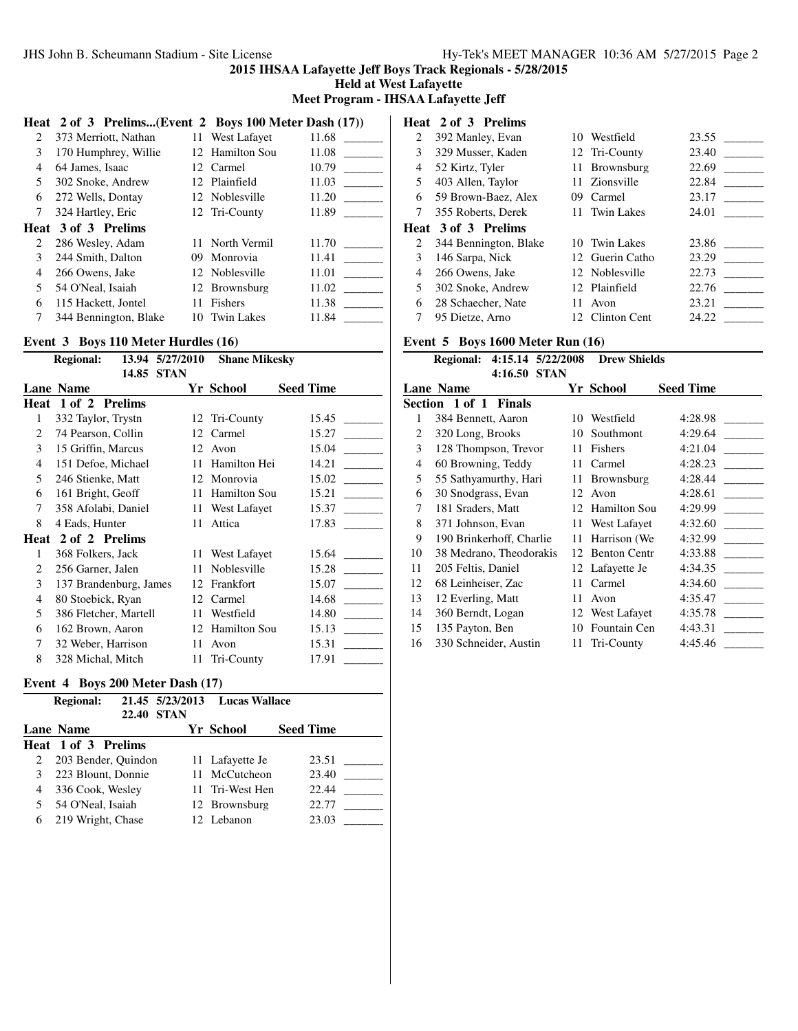**Held at West Lafayette**

**Meet Program - IHSAA Lafayette Jeff**

|    | Heat 2 of 3 Prelims(Event 2 Boys 100 Meter Dash (17)) |     |                   |       |
|----|-------------------------------------------------------|-----|-------------------|-------|
| 2  | 373 Merriott, Nathan                                  |     | 11 West Lafayet   | 11.68 |
| 3  | 170 Humphrey, Willie                                  |     | 12 Hamilton Sou   | 11.08 |
| 4  | 64 James, Isaac                                       |     | 12 Carmel         | 10.79 |
| 5. | 302 Snoke, Andrew                                     |     | 12 Plainfield     | 11.03 |
| 6  | 272 Wells, Dontay                                     |     | 12 Noblesville    | 11.20 |
| 7  | 324 Hartley, Eric                                     |     | 12 Tri-County     | 11.89 |
|    | Heat 3 of 3 Prelims                                   |     |                   |       |
| 2  | 286 Wesley, Adam                                      |     | 11 North Vermil   | 11.70 |
| 3  | 244 Smith, Dalton                                     | 09. | Monrovia          | 11.41 |
| 4  | 266 Owens, Jake                                       |     | 12 Noblesville    | 11.01 |
| 5. | 54 O'Neal, Isaiah                                     |     | 12 Brownsburg     | 11.02 |
| 6  | 115 Hackett, Jontel                                   | 11  | <b>Fishers</b>    | 11.38 |
| 7  | 344 Bennington, Blake                                 | 10. | <b>Twin Lakes</b> | 11.84 |
|    |                                                       |     |                   |       |

## **Event 3 Boys 110 Meter Hurdles (16)**

|      | <b>Regional:</b>       |       | 13.94 5/27/2010 | <b>Shane Mikesky</b> |                  |
|------|------------------------|-------|-----------------|----------------------|------------------|
|      |                        | 14.85 | <b>STAN</b>     |                      |                  |
|      | <b>Lane Name</b>       |       |                 | Yr School            | <b>Seed Time</b> |
| Heat | 1 of 2 Prelims         |       |                 |                      |                  |
| 1    | 332 Taylor, Trystn     |       | 12              | Tri-County           | 15.45            |
| 2    | 74 Pearson, Collin     |       | 12              | Carmel               | 15.27            |
| 3    | 15 Griffin, Marcus     |       |                 | 12 Avon              | 15.04            |
| 4    | 151 Defoe, Michael     |       | 11              | Hamilton Hei         | 14.21            |
| 5    | 246 Stienke, Matt      |       | 12              | Monrovia             | 15.02            |
| 6    | 161 Bright, Geoff      |       | 11              | Hamilton Sou         | 15.21            |
| 7    | 358 Afolabi, Daniel    |       |                 | 11 West Lafayet      | 15.37            |
| 8    | 4 Eads, Hunter         |       |                 | 11 Attica            | 17.83            |
| Heat | 2 of 2 Prelims         |       |                 |                      |                  |
| 1    | 368 Folkers, Jack      |       |                 | 11 West Lafayet      | 15.64            |
| 2    | 256 Garner, Jalen      |       | 11              | Noblesville          | 15.28            |
| 3    | 137 Brandenburg, James |       | 12              | Frankfort            | 15.07            |
| 4    | 80 Stoebick, Ryan      |       | 12              | Carmel               | 14.68            |
| 5    | 386 Fletcher, Martell  |       | 11              | Westfield            | 14.80            |
| 6    | 162 Brown, Aaron       |       |                 | 12 Hamilton Sou      | 15.13            |
| 7    | 32 Weber, Harrison     |       | 11              | Avon                 | 15.31            |
| 8    | 328 Michal, Mitch      |       |                 | 11 Tri-County        | 17.91            |
|      |                        |       |                 |                      |                  |

# **Event 4 Boys 200 Meter Dash (17)**

|   | <b>Regional:</b>    | <b>22.40 STAN</b> | 21.45 5/23/2013 Lucas Wallace |                  |
|---|---------------------|-------------------|-------------------------------|------------------|
|   | Lane Name           |                   | Yr School                     | <b>Seed Time</b> |
|   | Heat 1 of 3 Prelims |                   |                               |                  |
|   | 203 Bender, Quindon |                   | 11 Lafayette Je               | 23.51            |
|   | 223 Blount, Donnie  |                   | 11 McCutcheon                 | 23.40            |
| 4 | 336 Cook, Wesley    |                   | 11 Tri-West Hen               | 22.44            |
|   | 54 O'Neal, Isaiah   |                   | 12 Brownsburg                 | 22.77            |
| 6 | 219 Wright, Chase   |                   | 12 Lebanon                    | 23.03            |

# **Heat 2 of 3 Prelims**

| 2 | 392 Manley, Evan      | 10  | Westfield       | 23.55 |
|---|-----------------------|-----|-----------------|-------|
| 3 | 329 Musser, Kaden     |     | 12 Tri-County   | 23.40 |
| 4 | 52 Kirtz, Tyler       |     | 11 Brownsburg   | 22.69 |
| 5 | 403 Allen, Taylor     |     | 11 Zionsville   | 22.84 |
| 6 | 59 Brown-Baez, Alex   | 09  | Carmel          | 23.17 |
| 7 | 355 Roberts, Derek    |     | 11 Twin Lakes   | 24.01 |
|   | Heat 3 of 3 Prelims   |     |                 |       |
| 2 | 344 Bennington, Blake |     | 10 Twin Lakes   | 23.86 |
| 3 | 146 Sarpa, Nick       |     | 12 Guerin Catho | 23.29 |
| 4 | 266 Owens, Jake       |     | 12 Noblesville  | 22.73 |
| 5 | 302 Snoke, Andrew     |     | 12 Plainfield   | 22.76 |
| 6 | 28 Schaecher, Nate    | 11  | Avon            | 23.21 |
|   | 95 Dietze, Arno       | 12. | Clinton Cent    | 24.22 |

#### **Event 5 Boys 1600 Meter Run (16)**

| <b>Event 5 Boys 1600 Meter Run (16)</b> |                                             |    |                     |                  |  |  |
|-----------------------------------------|---------------------------------------------|----|---------------------|------------------|--|--|
|                                         | Regional: 4:15.14 5/22/2008<br>4:16.50 STAN |    | <b>Drew Shields</b> |                  |  |  |
|                                         | <b>Lane Name</b>                            |    | Yr School           | <b>Seed Time</b> |  |  |
|                                         | Section 1 of 1 Finals                       |    |                     |                  |  |  |
| 1                                       | 384 Bennett, Aaron                          | 10 | Westfield           | 4:28.98          |  |  |
| 2                                       | 320 Long, Brooks                            | 10 | Southmont           | 4:29.64          |  |  |
| 3                                       | 128 Thompson, Trevor                        | 11 | Fishers             | 4:21.04          |  |  |
| 4                                       | 60 Browning, Teddy                          | 11 | Carmel              | 4:28.23          |  |  |
| 5                                       | 55 Sathyamurthy, Hari                       | 11 | <b>Brownsburg</b>   | 4:28.44          |  |  |
| 6                                       | 30 Snodgrass, Evan                          | 12 | Avon                | 4:28.61          |  |  |
| 7                                       | 181 Sraders, Matt                           | 12 | <b>Hamilton Sou</b> | 4:29.99          |  |  |
| 8                                       | 371 Johnson, Evan                           | 11 | West Lafayet        | 4:32.60          |  |  |
| 9                                       | 190 Brinkerhoff, Charlie                    | 11 | Harrison (We        | 4:32.99          |  |  |
| 10                                      | 38 Medrano, Theodorakis                     | 12 | <b>Benton Centr</b> | 4:33.88          |  |  |
| 11                                      | 205 Feltis, Daniel                          |    | 12 Lafayette Je     | 4:34.35          |  |  |
| 12                                      | 68 Leinheiser, Zac                          | 11 | Carmel              | 4:34.60          |  |  |
| 13                                      | 12 Everling, Matt                           | 11 | Avon                | 4:35.47          |  |  |
| 14                                      | 360 Berndt, Logan                           |    | 12 West Lafayet     | 4:35.78          |  |  |
| 15                                      | 135 Payton, Ben                             | 10 | Fountain Cen        | 4:43.31          |  |  |
| 16                                      | 330 Schneider, Austin                       | 11 | Tri-County          | 4:45.46          |  |  |
|                                         |                                             |    |                     |                  |  |  |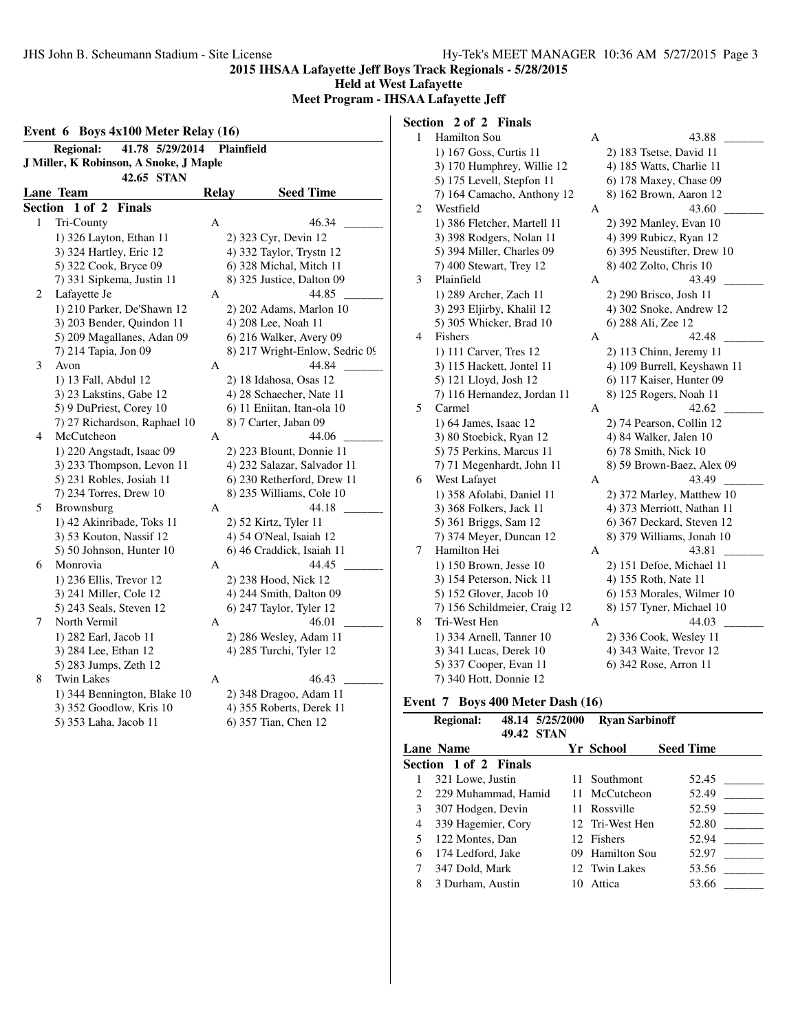**Held at West Lafayette**

**Meet Program - IHSAA Lafayette Jeff**

|                | 41.78 5/29/2014<br><b>Regional:</b>    |              | <b>Plainfield</b>              |
|----------------|----------------------------------------|--------------|--------------------------------|
|                | J Miller, K Robinson, A Snoke, J Maple |              |                                |
|                | 42.65 STAN                             |              |                                |
|                | <b>Lane Team</b>                       | <b>Relay</b> | <b>Seed Time</b>               |
| <b>Section</b> | $1$ of $2$<br><b>Finals</b>            |              |                                |
| 1              |                                        | A            | 46.34                          |
|                | Tri-County                             |              |                                |
|                | 1) 326 Layton, Ethan 11                |              | 2) 323 Cyr, Devin 12           |
|                | 3) 324 Hartley, Eric 12                |              | 4) 332 Taylor, Trystn 12       |
|                | 5) 322 Cook, Bryce 09                  |              | 6) 328 Michal, Mitch 11        |
|                | 7) 331 Sipkema, Justin 11              |              | 8) 325 Justice, Dalton 09      |
| 2              | Lafayette Je                           | А            | 44.85                          |
|                | 1) 210 Parker, De'Shawn 12             |              | 2) 202 Adams, Marlon 10        |
|                | 3) 203 Bender, Quindon 11              |              | 4) 208 Lee, Noah 11            |
|                | 5) 209 Magallanes, Adan 09             |              | 6) 216 Walker, Avery 09        |
|                | 7) 214 Tapia, Jon 09                   |              | 8) 217 Wright-Enlow, Sedric 09 |
| 3              | Avon                                   | А            | 44.84                          |
|                | 1) 13 Fall, Abdul 12                   |              | 2) 18 Idahosa, Osas 12         |
|                | 3) 23 Lakstins, Gabe 12                |              | 4) 28 Schaecher, Nate 11       |
|                | 5) 9 DuPriest, Corey 10                |              | 6) 11 Eniitan, Itan-ola 10     |
|                | 7) 27 Richardson, Raphael 10           |              | 8) 7 Carter, Jaban 09          |
| 4              | McCutcheon                             | А            | 44.06                          |
|                | 1) 220 Angstadt, Isaac 09              |              | 2) 223 Blount, Donnie 11       |
|                | 3) 233 Thompson, Levon 11              |              | 4) 232 Salazar, Salvador 11    |
|                | 5) 231 Robles, Josiah 11               |              | 6) 230 Retherford, Drew 11     |
|                | 7) 234 Torres, Drew 10                 |              | 8) 235 Williams, Cole 10       |
| 5              | Brownsburg                             | А            | 44.18                          |
|                | 1) 42 Akinribade, Toks 11              |              | 2) 52 Kirtz, Tyler 11          |
|                | 3) 53 Kouton, Nassif 12                |              | 4) 54 O'Neal, Isaiah 12        |
|                | 5) 50 Johnson, Hunter 10               |              | 6) 46 Craddick, Isaiah 11      |
| 6              | Monrovia                               | A            | 44.45                          |
|                | 1) 236 Ellis, Trevor 12                |              | 2) 238 Hood, Nick 12           |
|                | 3) 241 Miller, Cole 12                 |              | 4) 244 Smith, Dalton 09        |
|                | 5) 243 Seals, Steven 12                |              | 6) 247 Taylor, Tyler 12        |
| 7              | North Vermil                           | А            | 46.01                          |
|                | 1) 282 Earl, Jacob 11                  |              | 2) 286 Wesley, Adam 11         |
|                | 3) 284 Lee, Ethan 12                   |              | 4) 285 Turchi, Tyler 12        |
|                | 5) 283 Jumps, Zeth 12                  |              |                                |
| 8              | <b>Twin Lakes</b>                      | А            | 46.43                          |
|                | 1) 344 Bennington, Blake 10            |              | 2) 348 Dragoo, Adam 11         |
|                | 3) 352 Goodlow, Kris 10                |              | 4) 355 Roberts, Derek 11       |
|                | 5) 353 Laha, Jacob 11                  |              | 6) 357 Tian, Chen 12           |

# **Section 2 of 2 Finals**

| $\mathbf{1}$ | Hamilton Sou                 | A | 43.88                       |
|--------------|------------------------------|---|-----------------------------|
|              | 1) 167 Goss, Curtis 11       |   | 2) 183 Tsetse, David 11     |
|              | 3) 170 Humphrey, Willie 12   |   | 4) 185 Watts, Charlie 11    |
|              | 5) 175 Levell, Stepfon 11    |   | 6) 178 Maxey, Chase 09      |
|              | 7) 164 Camacho, Anthony 12   |   | 8) 162 Brown, Aaron 12      |
| 2            | Westfield                    | А | 43.60                       |
|              | 1) 386 Fletcher, Martell 11  |   | 2) 392 Manley, Evan 10      |
|              | 3) 398 Rodgers, Nolan 11     |   | 4) 399 Rubicz, Ryan 12      |
|              | 5) 394 Miller, Charles 09    |   | 6) 395 Neustifter, Drew 10  |
|              | 7) 400 Stewart, Trey 12      |   | 8) 402 Zolto, Chris 10      |
| 3            | Plainfield                   | А | 43.49                       |
|              | 1) 289 Archer, Zach 11       |   | 2) 290 Brisco, Josh 11      |
|              | 3) 293 Eljirby, Khalil 12    |   | 4) 302 Snoke, Andrew 12     |
|              | 5) 305 Whicker, Brad 10      |   | 6) 288 Ali, Zee 12          |
| 4            | Fishers                      | А | 42.48                       |
|              | 1) 111 Carver, Tres 12       |   | 2) 113 Chinn, Jeremy 11     |
|              | 3) 115 Hackett, Jontel 11    |   | 4) 109 Burrell, Keyshawn 11 |
|              | 5) 121 Lloyd, Josh 12        |   | 6) 117 Kaiser, Hunter 09    |
|              | 7) 116 Hernandez, Jordan 11  |   | 8) 125 Rogers, Noah 11      |
| 5            | Carmel                       | А | 42.62                       |
|              | 1) 64 James, Isaac 12        |   | 2) 74 Pearson, Collin 12    |
|              | 3) 80 Stoebick, Ryan 12      |   | 4) 84 Walker, Jalen 10      |
|              | 5) 75 Perkins, Marcus 11     |   | 6) 78 Smith, Nick 10        |
|              | 7) 71 Megenhardt, John 11    |   | 8) 59 Brown-Baez, Alex 09   |
| 6            | West Lafayet                 | А | 43.49                       |
|              | 1) 358 Afolabi, Daniel 11    |   | 2) 372 Marley, Matthew 10   |
|              | 3) 368 Folkers, Jack 11      |   | 4) 373 Merriott, Nathan 11  |
|              | 5) 361 Briggs, Sam 12        |   | 6) 367 Deckard, Steven 12   |
|              | 7) 374 Meyer, Duncan 12      |   | 8) 379 Williams, Jonah 10   |
| 7            | Hamilton Hei                 | A | 43.81                       |
|              | 1) 150 Brown, Jesse 10       |   | 2) 151 Defoe, Michael 11    |
|              | 3) 154 Peterson, Nick 11     |   | 4) 155 Roth, Nate 11        |
|              | 5) 152 Glover, Jacob 10      |   | 6) 153 Morales, Wilmer 10   |
|              | 7) 156 Schildmeier, Craig 12 |   | 8) 157 Tyner, Michael 10    |
| 8            | Tri-West Hen                 | А | 44.03                       |
|              | 1) 334 Arnell, Tanner 10     |   | 2) 336 Cook, Wesley 11      |
|              | 3) 341 Lucas, Derek 10       |   | 4) 343 Waite, Trevor 12     |
|              | 5) 337 Cooper, Evan 11       |   | 6) 342 Rose, Arron 11       |
|              | 7) 340 Hott, Donnie 12       |   |                             |

# **Event 7 Boys 400 Meter Dash (16)**

|   | <b>Regional:</b>             | 48.14 5/25/2000 | <b>Ryan Sarbinoff</b> |                  |
|---|------------------------------|-----------------|-----------------------|------------------|
|   |                              | 49.42 STAN      |                       |                  |
|   | <b>Lane Name</b>             |                 | Yr School             | <b>Seed Time</b> |
|   | <b>Section 1 of 2 Finals</b> |                 |                       |                  |
|   | 321 Lowe, Justin             |                 | 11 Southmont          | 52.45            |
| 2 | 229 Muhammad, Hamid          |                 | 11 McCutcheon         | 52.49            |
| 3 | 307 Hodgen, Devin            |                 | 11 Rossville          | 52.59            |
| 4 | 339 Hagemier, Cory           |                 | 12 Tri-West Hen       | 52.80            |
| 5 | 122 Montes, Dan              |                 | 12 Fishers            | 52.94            |
| 6 | 174 Ledford, Jake            | 09.             | <b>Hamilton Sou</b>   | 52.97            |
|   | 347 Dold, Mark               |                 | 12 Twin Lakes         | 53.56            |
| 8 | 3 Durham. Austin             | 10              | Attica                | 53.66            |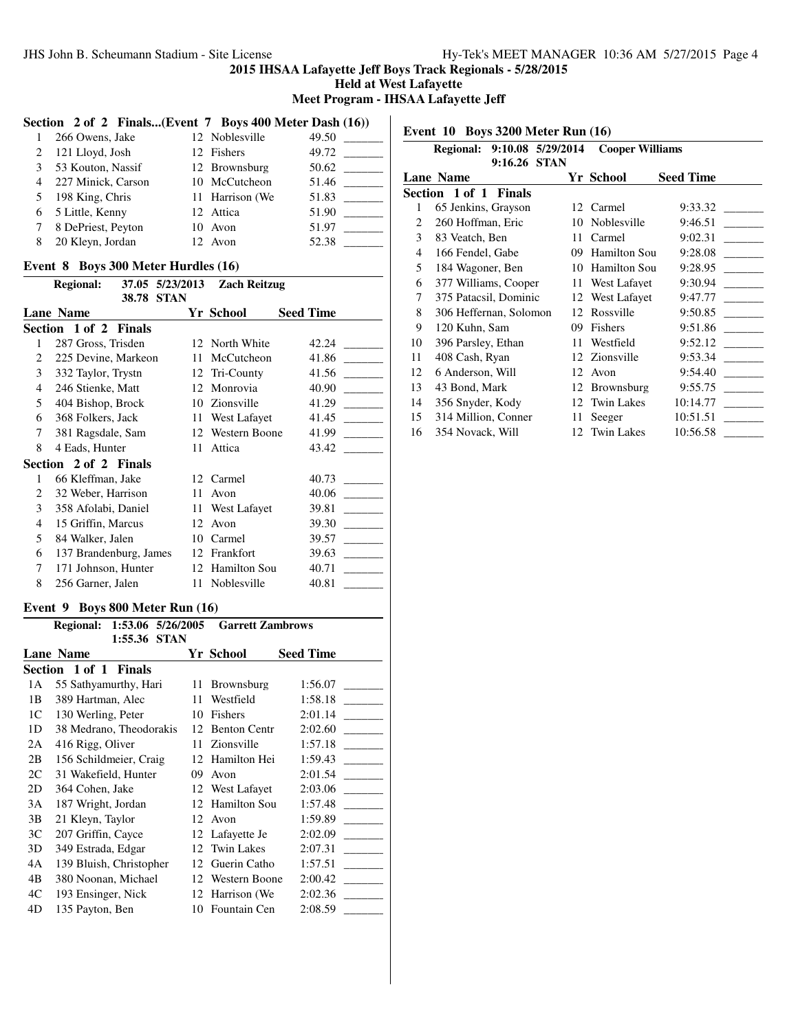**Held at West Lafayette**

 $\perp$ 

**Meet Program - IHSAA Lafayette Jeff**

# **Section 2 of 2 Finals...(Event 7 Boys 400 Meter Dash (16))**

| 1              | 266 Owens, Jake    | 12 Noblesville  | 49.50 |
|----------------|--------------------|-----------------|-------|
| 2              | 121 Lloyd, Josh    | 12 Fishers      | 49.72 |
| $\mathcal{E}$  | 53 Kouton, Nassif  | 12 Brownsburg   | 50.62 |
| $\overline{4}$ | 227 Minick, Carson | 10 McCutcheon   | 51.46 |
| 5              | 198 King, Chris    | 11 Harrison (We | 51.83 |
| 6              | 5 Little, Kenny    | 12 Attica       | 51.90 |
| 7              | 8 DePriest, Peyton | 10 Avon         | 51.97 |
| 8              | 20 Kleyn, Jordan   | 12 Avon         | 52.38 |

## **Event 8 Boys 300 Meter Hurdles (16)**

|                | <b>Regional:</b>       |       | 37.05 5/23/2013 | <b>Zach Reitzug</b> |                  |
|----------------|------------------------|-------|-----------------|---------------------|------------------|
|                |                        | 38.78 | <b>STAN</b>     |                     |                  |
|                | Lane Name              |       |                 | Yr School           | <b>Seed Time</b> |
|                | Section 1 of 2 Finals  |       |                 |                     |                  |
| 1              | 287 Gross, Trisden     |       | 12.             | North White         | 42.24            |
| $\mathfrak{D}$ | 225 Devine, Markeon    |       | 11              | McCutcheon          | 41.86            |
| 3              | 332 Taylor, Trystn     |       | 12              | Tri-County          | 41.56            |
| 4              | 246 Stienke, Matt      |       | 12              | Monrovia            | 40.90            |
| 5              | 404 Bishop, Brock      |       | 10              | Zionsville          | 41.29            |
| 6              | 368 Folkers, Jack      |       | 11              | West Lafayet        | 41.45            |
| 7              | 381 Ragsdale, Sam      |       | 12.             | Western Boone       | 41.99            |
| 8              | 4 Eads, Hunter         |       | 11              | Attica              | 43.42            |
|                | Section 2 of 2 Finals  |       |                 |                     |                  |
| 1              | 66 Kleffman, Jake      |       | 12              | Carmel              | 40.73            |
| $\mathfrak{D}$ | 32 Weber, Harrison     |       | 11              | Avon                | 40.06            |
| 3              | 358 Afolabi, Daniel    |       | 11              | West Lafayet        | 39.81            |
| 4              | 15 Griffin, Marcus     |       | 12              | Avon                | 39.30            |
| 5              | 84 Walker, Jalen       |       | 10              | Carmel              | 39.57            |
| 6              | 137 Brandenburg, James |       | 12              | Frankfort           | 39.63            |
| 7              | 171 Johnson, Hunter    |       | 12              | <b>Hamilton Sou</b> | 40.71            |
| 8              | 256 Garner, Jalen      |       | 11              | Noblesville         | 40.81            |

#### **Event 9 Boys 800 Meter Run (16)**

|                | 1:53.06 5/26/2005<br><b>Regional:</b> |    | <b>Garrett Zambrows</b> |                  |
|----------------|---------------------------------------|----|-------------------------|------------------|
|                | 1:55.36<br><b>STAN</b>                |    |                         |                  |
|                | Lane Name                             |    | Yr School               | <b>Seed Time</b> |
|                | Section 1 of 1 Finals                 |    |                         |                  |
| 1A             | 55 Sathyamurthy, Hari                 | 11 | <b>Brownsburg</b>       | 1:56.07          |
| 1B             | 389 Hartman, Alec                     | 11 | Westfield               | 1:58.18          |
| 1 <sup>C</sup> | 130 Werling, Peter                    | 10 | Fishers                 | 2:01.14          |
| 1 <sub>D</sub> | 38 Medrano, Theodorakis               | 12 | <b>Benton Centr</b>     | 2:02.60          |
| 2A             | 416 Rigg, Oliver                      | 11 | Zionsville              | 1:57.18          |
| 2B             | 156 Schildmeier, Craig                | 12 | Hamilton Hei            | 1:59.43          |
| 2C             | 31 Wakefield, Hunter                  | 09 | Avon                    | 2:01.54          |
| 2D             | 364 Cohen, Jake                       |    | 12 West Lafayet         | 2:03.06          |
| 3A             | 187 Wright, Jordan                    | 12 | Hamilton Sou            | 1:57.48          |
| 3B             | 21 Kleyn, Taylor                      | 12 | Avon                    | 1:59.89          |
| 3 <sup>C</sup> | 207 Griffin, Cayce                    |    | 12 Lafayette Je         | 2:02.09          |
| 3D             | 349 Estrada, Edgar                    | 12 | Twin Lakes              | 2:07.31          |
| 4A             | 139 Bluish, Christopher               | 12 | Guerin Catho            | 1:57.51          |
| 4B             | 380 Noonan, Michael                   |    | 12 Western Boone        | 2:00.42          |
| 4C             | 193 Ensinger, Nick                    |    | 12 Harrison (We         | 2:02.36          |
| 4D             | 135 Payton, Ben                       |    | 10 Fountain Cen         | 2:08.59          |

**Event 10 Boys 3200 Meter Run (16)**

|    | <b>Regional:</b>       | 9:10.08 5/29/2014 |    | <b>Cooper Williams</b> |                  |
|----|------------------------|-------------------|----|------------------------|------------------|
|    |                        | 9:16.26 STAN      |    |                        |                  |
|    | <b>Lane Name</b>       |                   |    | Yr School              | <b>Seed Time</b> |
|    | Section 1 of 1 Finals  |                   |    |                        |                  |
| 1  | 65 Jenkins, Grayson    |                   |    | 12 Carmel              | 9:33.32          |
| 2  | 260 Hoffman, Eric      |                   | 10 | Noblesville            | 9:46.51          |
| 3  | 83 Veatch, Ben         |                   | 11 | Carmel                 | 9:02.31          |
| 4  | 166 Fendel, Gabe       |                   | 09 | Hamilton Sou           | 9:28.08          |
| 5  | 184 Wagoner, Ben       |                   | 10 | Hamilton Sou           | 9:28.95          |
| 6  | 377 Williams, Cooper   |                   | 11 | West Lafayet           | 9:30.94          |
| 7  | 375 Patacsil, Dominic  |                   |    | 12 West Lafayet        | 9:47.77          |
| 8  | 306 Heffernan, Solomon |                   | 12 | Rossville              | 9:50.85          |
| 9  | 120 Kuhn, Sam          |                   | 09 | Fishers                | 9:51.86          |
| 10 | 396 Parsley, Ethan     |                   | 11 | Westfield              | 9:52.12          |
| 11 | 408 Cash, Ryan         |                   |    | 12 Zionsville          | 9:53.34          |
| 12 | 6 Anderson, Will       |                   | 12 | Avon                   | 9:54.40          |
| 13 | 43 Bond, Mark          |                   | 12 | <b>Brownsburg</b>      | 9:55.75          |
| 14 | 356 Snyder, Kody       |                   | 12 | <b>Twin Lakes</b>      | 10:14.77         |
| 15 | 314 Million, Conner    |                   | 11 | Seeger                 | 10:51.51         |
| 16 | 354 Novack, Will       |                   |    | 12 Twin Lakes          | 10:56.58         |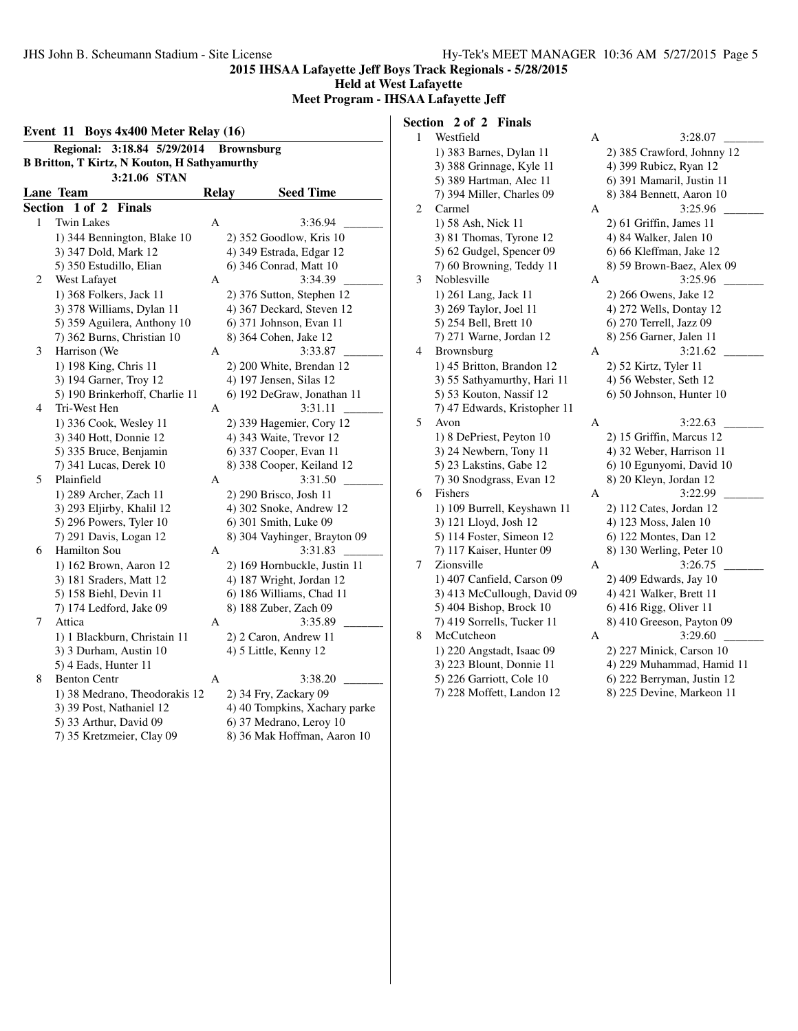**Held at West Lafayette**

**Meet Program - IHSAA Lafayette Jeff**

|         | Event 11 Boys 4x400 Meter Relay (16)                |              |                               |
|---------|-----------------------------------------------------|--------------|-------------------------------|
|         | $3:18.84$ 5/29/2014<br><b>Regional:</b>             |              | <b>Brownsburg</b>             |
|         | <b>B Britton, T Kirtz, N Kouton, H Sathyamurthy</b> |              |                               |
|         | 3:21.06 STAN                                        |              |                               |
|         | Lane Team                                           | <b>Relay</b> | <b>Seed Time</b>              |
| Section | 1 of 2<br><b>Finals</b>                             |              |                               |
| 1       | <b>Twin Lakes</b>                                   | A            | 3:36.94                       |
|         | 1) 344 Bennington, Blake 10                         |              | 2) 352 Goodlow, Kris 10       |
|         | 3) 347 Dold, Mark 12                                |              | 4) 349 Estrada, Edgar 12      |
|         | 5) 350 Estudillo, Elian                             |              | 6) 346 Conrad, Matt 10        |
| 2       | West Lafayet                                        | А            | 3:34.39                       |
|         | 1) 368 Folkers, Jack 11                             |              | 2) 376 Sutton, Stephen 12     |
|         | 3) 378 Williams, Dylan 11                           |              | 4) 367 Deckard, Steven 12     |
|         | 5) 359 Aguilera, Anthony 10                         |              | 6) 371 Johnson, Evan 11       |
|         | 7) 362 Burns, Christian 10                          |              | 8) 364 Cohen, Jake 12         |
| 3       | Harrison (We                                        | A            | 3:33.87                       |
|         | 1) 198 King, Chris 11                               |              | 2) 200 White, Brendan 12      |
|         | 3) 194 Garner, Troy 12                              |              | 4) 197 Jensen, Silas 12       |
|         | 5) 190 Brinkerhoff, Charlie 11                      |              | 6) 192 DeGraw, Jonathan 11    |
| 4       | Tri-West Hen                                        | A            | 3:31.11                       |
|         | 1) 336 Cook, Wesley 11                              |              | 2) 339 Hagemier, Cory 12      |
|         | 3) 340 Hott, Donnie 12                              |              | 4) 343 Waite, Trevor 12       |
|         | 5) 335 Bruce, Benjamin                              |              | 6) 337 Cooper, Evan 11        |
|         | 7) 341 Lucas, Derek 10                              |              | 8) 338 Cooper, Keiland 12     |
| 5       | Plainfield                                          | А            | 3:31.50                       |
|         | 1) 289 Archer, Zach 11                              |              | 2) 290 Brisco, Josh 11        |
|         | 3) 293 Eljirby, Khalil 12                           |              | 4) 302 Snoke, Andrew 12       |
|         | 5) 296 Powers, Tyler 10                             |              | 6) 301 Smith, Luke 09         |
|         | 7) 291 Davis, Logan 12                              |              | 8) 304 Vayhinger, Brayton 09  |
| 6       | Hamilton Sou                                        | А            | 3:31.83                       |
|         | 1) 162 Brown, Aaron 12                              |              | 2) 169 Hornbuckle, Justin 11  |
|         | 3) 181 Sraders, Matt 12                             |              | 4) 187 Wright, Jordan 12      |
|         | 5) 158 Biehl, Devin 11                              |              | 6) 186 Williams, Chad 11      |
|         | 7) 174 Ledford, Jake 09                             |              | 8) 188 Zuber, Zach 09         |
| 7       | Attica                                              | А            | 3:35.89                       |
|         | 1) 1 Blackburn, Christain 11                        |              | 2) 2 Caron, Andrew 11         |
|         | 3) 3 Durham, Austin 10                              |              | 4) 5 Little, Kenny 12         |
|         | 5) 4 Eads, Hunter 11                                |              |                               |
| 8       | <b>Benton Centr</b>                                 | А            | 3:38.20                       |
|         | 1) 38 Medrano, Theodorakis 12                       |              | 2) 34 Fry, Zackary 09         |
|         | 3) 39 Post, Nathaniel 12                            |              | 4) 40 Tompkins, Xachary parke |
|         | 5) 33 Arthur, David 09                              |              | 6) 37 Medrano, Leroy 10       |
|         | 7) 35 Kretzmeier, Clay 09                           |              | 8) 36 Mak Hoffman, Aaron 10   |
|         |                                                     |              |                               |

# **Section 2 of 2 Finals**

| 1 | Westfield                    | Α | 3:28.07                    |
|---|------------------------------|---|----------------------------|
|   | 1) 383 Barnes, Dylan 11      |   | 2) 385 Crawford, Johnny 12 |
|   | 3) 388 Grinnage, Kyle 11     |   | 4) 399 Rubicz, Ryan 12     |
|   | 5) 389 Hartman, Alec 11      |   | 6) 391 Mamaril, Justin 11  |
|   | 7) 394 Miller, Charles 09    |   | 8) 384 Bennett, Aaron 10   |
| 2 | Carmel                       | А | 3:25.96                    |
|   | 1) 58 Ash, Nick 11           |   | $2)$ 61 Griffin, James 11  |
|   | 3) 81 Thomas, Tyrone 12      |   | 4) 84 Walker, Jalen 10     |
|   | 5) 62 Gudgel, Spencer 09     |   | 6) 66 Kleffman, Jake 12    |
|   | 7) 60 Browning, Teddy 11     |   | 8) 59 Brown-Baez, Alex 09  |
| 3 | Noblesville                  | A | 3:25.96                    |
|   | 1) 261 Lang, Jack 11         |   | 2) 266 Owens, Jake 12      |
|   | 3) 269 Taylor, Joel 11       |   | 4) 272 Wells, Dontay 12    |
|   | 5) 254 Bell, Brett 10        |   | 6) 270 Terrell, Jazz 09    |
|   | 7) 271 Warne, Jordan 12      |   | 8) 256 Garner, Jalen 11    |
| 4 | Brownsburg                   | А | 3:21.62                    |
|   | 1) 45 Britton, Brandon 12    |   | 2) 52 Kirtz, Tyler 11      |
|   | 3) 55 Sathyamurthy, Hari 11  |   | 4) 56 Webster, Seth 12     |
|   | 5) 53 Kouton, Nassif 12      |   | 6) 50 Johnson, Hunter 10   |
|   | 7) 47 Edwards, Kristopher 11 |   |                            |
| 5 | Avon                         | А | 3:22.63                    |
|   | 1) 8 DePriest, Peyton 10     |   | 2) 15 Griffin, Marcus 12   |
|   | 3) 24 Newbern, Tony 11       |   | 4) 32 Weber, Harrison 11   |
|   | 5) 23 Lakstins, Gabe 12      |   | 6) 10 Egunyomi, David 10   |
|   | 7) 30 Snodgrass, Evan 12     |   | 8) 20 Kleyn, Jordan 12     |
| 6 | Fishers                      | А | 3:22.99                    |
|   | 1) 109 Burrell, Keyshawn 11  |   | 2) 112 Cates, Jordan 12    |
|   | 3) 121 Lloyd, Josh 12        |   | 4) 123 Moss, Jalen 10      |
|   | 5) 114 Foster, Simeon 12     |   | 6) 122 Montes, Dan 12      |
|   | 7) 117 Kaiser, Hunter 09     |   | 8) 130 Werling, Peter 10   |
| 7 | Zionsville                   | A | 3:26.75                    |
|   | 1) 407 Canfield, Carson 09   |   | 2) 409 Edwards, Jay 10     |
|   | 3) 413 McCullough, David 09  |   | 4) 421 Walker, Brett 11    |
|   | 5) 404 Bishop, Brock 10      |   | $(6)$ 416 Rigg, Oliver 11  |
|   | 7) 419 Sorrells, Tucker 11   |   | 8) 410 Greeson, Payton 09  |
| 8 | McCutcheon                   | А | 3:29.60                    |
|   | 1) 220 Angstadt, Isaac 09    |   | 2) 227 Minick, Carson 10   |
|   | 3) 223 Blount, Donnie 11     |   | 4) 229 Muhammad, Hamid 11  |
|   | 5) 226 Garriott, Cole 10     |   | 6) 222 Berryman, Justin 12 |
|   | 7) 228 Moffett, Landon 12    |   | 8) 225 Devine, Markeon 11  |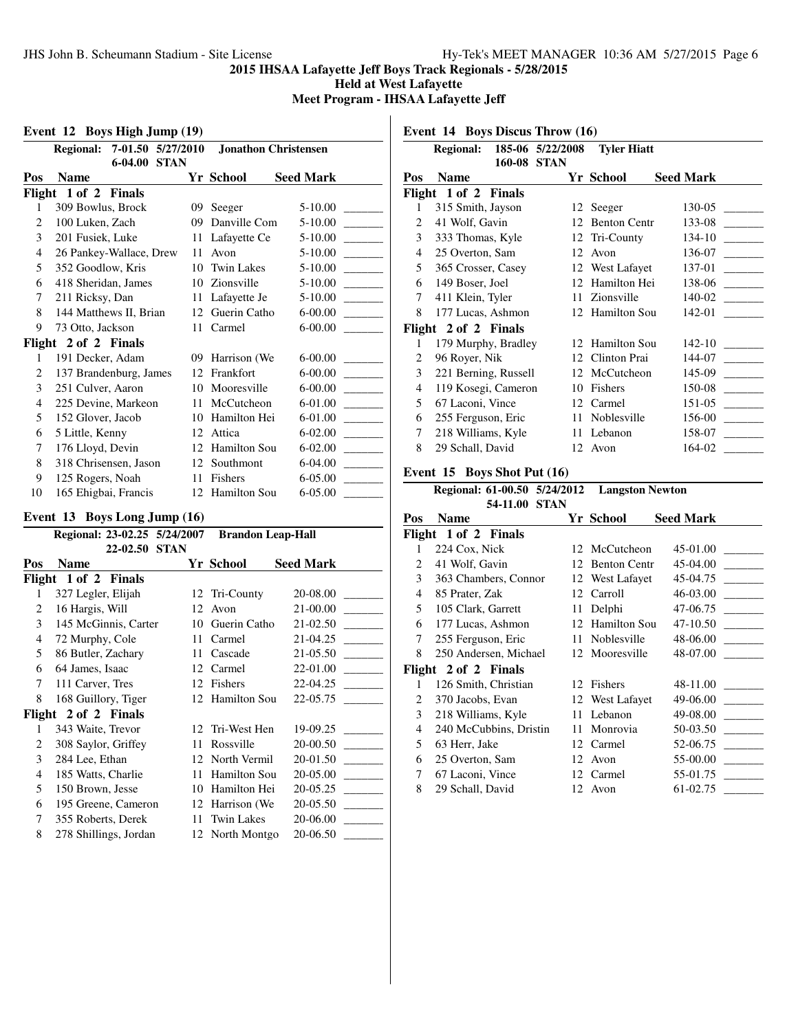**Held at West Lafayette**

**Meet Program - IHSAA Lafayette Jeff**

**Event 12 Boys High Jump (19)**

|                | <b>Regional:</b>        | $7-01.50$   | 5/27/2010   |                     | <b>Jonathon Christensen</b> |
|----------------|-------------------------|-------------|-------------|---------------------|-----------------------------|
|                |                         | $6 - 04.00$ | <b>STAN</b> |                     |                             |
| Pos            | <b>Name</b>             |             |             | Yr School           | <b>Seed Mark</b>            |
|                | Flight 1 of 2 Finals    |             |             |                     |                             |
| 1              | 309 Bowlus, Brock       |             | 09          | Seeger              | $5 - 10.00$                 |
| 2              | 100 Luken, Zach         |             | 09          | Danville Com        | $5 - 10.00$                 |
| 3              | 201 Fusiek, Luke        |             | 11          | Lafayette Ce        | $5 - 10.00$                 |
| $\overline{4}$ | 26 Pankey-Wallace, Drew |             | 11          | Avon                | $5 - 10.00$                 |
| 5              | 352 Goodlow, Kris       |             | 10          | <b>Twin Lakes</b>   | 5-10.00                     |
| 6              | 418 Sheridan, James     |             | 10          | Zionsville          | $5 - 10.00$                 |
| 7              | 211 Ricksy, Dan         |             | 11          | Lafayette Je        | $5 - 10.00$                 |
| 8              | 144 Matthews II, Brian  |             | 12          | Guerin Catho        | $6 - 00.00$                 |
| 9              | 73 Otto, Jackson        |             | 11          | Carmel              | $6 - 00.00$                 |
| Flight         | 2 of 2 Finals           |             |             |                     |                             |
| 1              | 191 Decker, Adam        |             | 09          | Harrison (We        | $6 - 00.00$                 |
| 2              | 137 Brandenburg, James  |             | 12          | Frankfort           | $6 - 00.00$                 |
| 3              | 251 Culver, Aaron       |             | 10          | Mooresville         | $6 - 00.00$                 |
| 4              | 225 Devine, Markeon     |             | 11          | McCutcheon          | 6-01.00                     |
| 5              | 152 Glover, Jacob       |             | 10          | Hamilton Hei        | 6-01.00                     |
| 6              | 5 Little, Kenny         |             | 12          | Attica              | $6 - 02.00$                 |
| 7              | 176 Lloyd, Devin        |             | 12          | <b>Hamilton Sou</b> | $6 - 02.00$                 |
| 8              | 318 Chrisensen, Jason   |             | 12          | Southmont           | 6-04.00                     |
| 9              | 125 Rogers, Noah        |             | 11          | Fishers             | 6-05.00                     |
| 10             | 165 Ehigbai, Francis    |             | 12          | Hamilton Sou        | 6-05.00                     |

## **Event 13 Boys Long Jump (16)**

|     | Regional: 23-02.25 5/24/2007 |             | <b>Brandon Leap-Hall</b> |                  |
|-----|------------------------------|-------------|--------------------------|------------------|
|     | 22-02.50                     | <b>STAN</b> |                          |                  |
| Pos | <b>Name</b>                  |             | Yr School                | <b>Seed Mark</b> |
|     | Flight 1 of 2 Finals         |             |                          |                  |
| 1   | 327 Legler, Elijah           | 12          | Tri-County               | 20-08.00         |
| 2   | 16 Hargis, Will              | 12          | Avon                     | 21-00.00         |
| 3   | 145 McGinnis, Carter         | 10          | Guerin Catho             | 21-02.50         |
| 4   | 72 Murphy, Cole              | 11          | Carmel                   | 21-04.25         |
| 5   | 86 Butler, Zachary           | 11          | Cascade                  | 21-05.50         |
| 6   | 64 James, Isaac              | 12          | Carmel                   | 22-01.00         |
| 7   | 111 Carver, Tres             | 12          | Fishers                  | 22-04.25         |
| 8   | 168 Guillory, Tiger          | 12          | <b>Hamilton Sou</b>      | 22-05.75         |
|     | Flight 2 of 2 Finals         |             |                          |                  |
| 1   | 343 Waite, Trevor            | 12          | Tri-West Hen             | 19-09.25         |
| 2   | 308 Saylor, Griffey          | 11          | Rossville                | 20-00.50         |
| 3   | 284 Lee, Ethan               | 12          | North Vermil             | 20-01.50         |
| 4   | 185 Watts, Charlie           | 11          | Hamilton Sou             | 20-05.00         |
| 5   | 150 Brown, Jesse             | 10          | Hamilton Hei             | 20-05.25         |
| 6   | 195 Greene, Cameron          | 12          | Harrison (We             | 20-05.50         |
| 7   | 355 Roberts, Derek           | 11          | <b>Twin Lakes</b>        | 20-06.00         |
| 8   | 278 Shillings, Jordan        |             | 12 North Montgo          | 20-06.50         |

**Event 14 Boys Discus Throw (16)**

|                |                              |               |    | Regional: 185-06 5/22/2008 Tyler Hiatt |                  |
|----------------|------------------------------|---------------|----|----------------------------------------|------------------|
|                |                              | 160-08 STAN   |    |                                        |                  |
| Pos            | <b>Name</b>                  |               |    | Yr School                              | <b>Seed Mark</b> |
|                | Flight 1 of 2 Finals         |               |    |                                        |                  |
| 1              | 315 Smith, Jayson            |               |    | 12 Seeger                              | 130-05           |
| 2              | 41 Wolf, Gavin               |               |    | 12 Benton Centr                        | 133-08           |
| 3              | 333 Thomas, Kyle             |               |    | 12 Tri-County                          |                  |
| $\overline{4}$ | 25 Overton, Sam              |               | 12 | Avon                                   | 136-07           |
| 5              | 365 Crosser, Casey           |               |    | 12 West Lafayet                        | 137-01           |
| 6              | 149 Boser, Joel              |               |    | 12 Hamilton Hei                        | 138-06           |
| $7^{\circ}$    | 411 Klein, Tyler             |               |    | 11 Zionsville                          | 140-02           |
| 8              | 177 Lucas, Ashmon            |               |    | 12 Hamilton Sou                        | 142-01           |
|                | Flight 2 of 2 Finals         |               |    |                                        |                  |
| 1              | 179 Murphy, Bradley          |               |    | 12 Hamilton Sou                        | $142-10$         |
| 2              | 96 Royer, Nik                |               |    | 12 Clinton Prai                        | 144-07           |
| $\mathfrak{Z}$ | 221 Berning, Russell         |               |    | 12 McCutcheon                          | 145-09           |
| 4              | 119 Kosegi, Cameron          |               |    | 10 Fishers                             | $150-08$         |
| 5              | 67 Laconi, Vince             |               |    | 12 Carmel                              | 151-05           |
| 6              | 255 Ferguson, Eric           |               |    | 11 Noblesville                         | $156-00$         |
| 7              | 218 Williams, Kyle           |               |    | 11 Lebanon                             | 158-07           |
| 8              | 29 Schall, David             |               |    | 12 Avon                                | 164-02           |
|                | Event 15 Boys Shot Put (16)  |               |    |                                        |                  |
|                | Regional: 61-00.50 5/24/2012 |               |    | <b>Langston Newton</b>                 |                  |
|                |                              | 54-11.00 STAN |    |                                        |                  |
| Pos            | <b>Name</b>                  |               |    | Yr School                              | <b>Seed Mark</b> |
|                | Flight 1 of 2 Finals         |               |    |                                        |                  |

| Flight | 1 of 2 Finals          |    |                     |          |
|--------|------------------------|----|---------------------|----------|
| 1      | 224 Cox, Nick          |    | 12 McCutcheon       | 45-01.00 |
| 2      | 41 Wolf, Gavin         | 12 | <b>Benton Centr</b> | 45-04.00 |
| 3      | 363 Chambers, Connor   |    | 12 West Lafayet     | 45-04.75 |
| 4      | 85 Prater, Zak         | 12 | Carroll             | 46-03.00 |
| 5.     | 105 Clark, Garrett     | 11 | Delphi              | 47-06.75 |
| 6      | 177 Lucas, Ashmon      | 12 | <b>Hamilton Sou</b> | 47-10.50 |
| 7      | 255 Ferguson, Eric     | 11 | Noblesville         | 48-06.00 |
| 8      | 250 Andersen, Michael  |    | 12 Mooresville      | 48-07.00 |
|        | Flight 2 of 2 Finals   |    |                     |          |
| 1      | 126 Smith, Christian   |    | 12 Fishers          | 48-11.00 |
| 2      | 370 Jacobs, Evan       |    | 12 West Lafayet     | 49-06.00 |
| 3      | 218 Williams, Kyle     | 11 | Lebanon             | 49-08.00 |
| 4      | 240 McCubbins, Dristin | 11 | Monrovia            | 50-03.50 |
| 5      | 63 Herr, Jake          | 12 | Carmel              | 52-06.75 |
| 6      | 25 Overton, Sam        | 12 | Avon                | 55-00.00 |
| 7      | 67 Laconi, Vince       | 12 | Carmel              | 55-01.75 |
| 8      | 29 Schall, David       |    | 12 Avon             | 61-02.75 |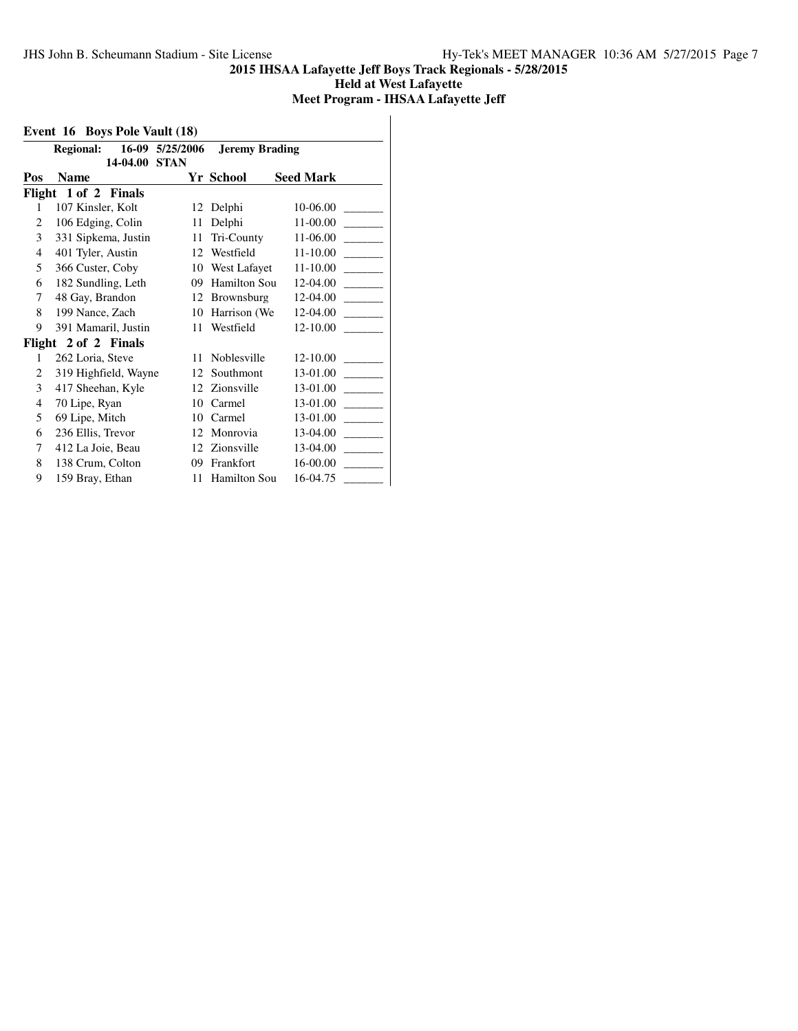**Held at West Lafayette**

# **Meet Program - IHSAA Lafayette Jeff**

|     | 16-09 5/25/2006<br><b>Regional:</b><br>14-04.00 | <b>STAN</b> | <b>Jeremy Brading</b> |                  |
|-----|-------------------------------------------------|-------------|-----------------------|------------------|
| Pos | <b>Name</b>                                     |             | Yr School             | <b>Seed Mark</b> |
|     | Flight 1 of 2 Finals                            |             |                       |                  |
| 1   | 107 Kinsler, Kolt                               | 12          | Delphi                | 10-06.00         |
| 2   | 106 Edging, Colin                               | 11          | Delphi                | 11-00.00         |
| 3   | 331 Sipkema, Justin                             | 11          | Tri-County            | 11-06.00         |
| 4   | 401 Tyler, Austin                               | 12          | Westfield             | 11-10.00         |
| 5   | 366 Custer, Coby                                | 10          | West Lafayet          | 11-10.00         |
| 6   | 182 Sundling, Leth                              | 09          | <b>Hamilton Sou</b>   | 12-04.00         |
| 7   | 48 Gay, Brandon                                 | 12          | Brownsburg            | 12-04.00         |
| 8   | 199 Nance, Zach                                 | 10          | Harrison (We          | 12-04.00         |
| 9   | 391 Mamaril, Justin                             | 11          | Westfield             | 12-10.00         |
|     | Flight 2 of 2 Finals                            |             |                       |                  |
| 1   | 262 Loria, Steve                                | 11          | Noblesville           | 12-10.00         |
| 2   | 319 Highfield, Wayne                            | 12          | Southmont             | 13-01.00         |
| 3   | 417 Sheehan, Kyle                               | 12          | Zionsville            | 13-01.00         |
| 4   | 70 Lipe, Ryan                                   | 10          | Carmel                | 13-01.00         |
| 5   | 69 Lipe, Mitch                                  | 10          | Carmel                | 13-01.00         |
| 6   | 236 Ellis, Trevor                               | 12          | Monrovia              | 13-04.00         |
| 7   | 412 La Joie, Beau                               | 12          | Zionsville            | 13-04.00         |
| 8   | 138 Crum, Colton                                | 09          | Frankfort             | 16-00.00         |
| 9   | 159 Bray, Ethan                                 | 11          | <b>Hamilton Sou</b>   | 16-04.75         |
|     |                                                 |             |                       |                  |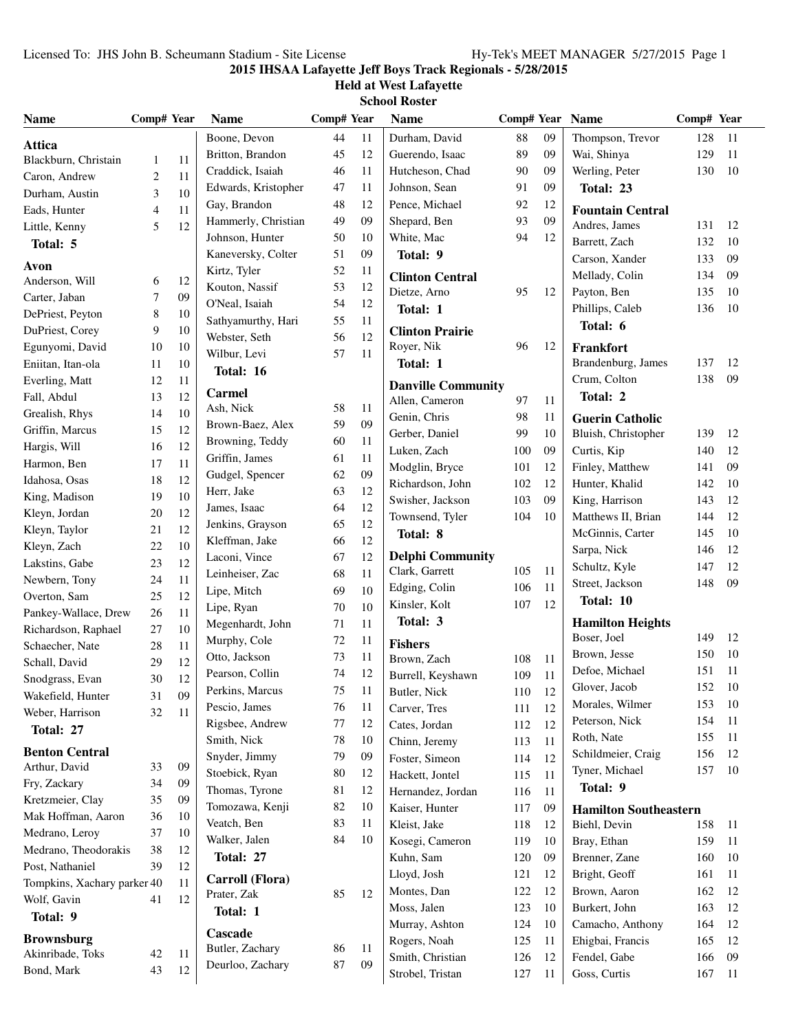# **Held at West Lafayette School Roster**

| <b>Name</b>                 | Comp# Year     |    | <b>Name</b>                    | Comp# Year |    | <b>Name</b>               | Comp# Year Name |        |                              | Comp# Year |    |
|-----------------------------|----------------|----|--------------------------------|------------|----|---------------------------|-----------------|--------|------------------------------|------------|----|
| <b>Attica</b>               |                |    | Boone, Devon                   | 44         | 11 | Durham, David             | 88              | 09     | Thompson, Trevor             | 128        | 11 |
| Blackburn, Christain        | 1              | 11 | Britton, Brandon               | 45         | 12 | Guerendo, Isaac           | 89              | 09     | Wai, Shinya                  | 129        | 11 |
| Caron, Andrew               | $\overline{c}$ | 11 | Craddick, Isaiah               | 46         | 11 | Hutcheson, Chad           | 90              | 09     | Werling, Peter               | 130        | 10 |
| Durham, Austin              | 3              | 10 | Edwards, Kristopher            | 47         | 11 | Johnson, Sean             | 91              | 09     | Total: 23                    |            |    |
| Eads, Hunter                | $\overline{4}$ | 11 | Gay, Brandon                   | 48         | 12 | Pence, Michael            | 92              | 12     | <b>Fountain Central</b>      |            |    |
| Little, Kenny               | 5              | 12 | Hammerly, Christian            | 49         | 09 | Shepard, Ben              | 93              | 09     | Andres, James                | 131        | 12 |
| Total: 5                    |                |    | Johnson, Hunter                | 50         | 10 | White, Mac                | 94              | 12     | Barrett, Zach                | 132        | 10 |
|                             |                |    | Kaneversky, Colter             | 51         | 09 | Total: 9                  |                 |        | Carson, Xander               | 133        | 09 |
| Avon                        |                |    | Kirtz, Tyler                   | 52         | 11 | <b>Clinton Central</b>    |                 |        | Mellady, Colin               | 134        | 09 |
| Anderson, Will              | 6              | 12 | Kouton, Nassif                 | 53         | 12 | Dietze, Arno              | 95              | 12     | Payton, Ben                  | 135        | 10 |
| Carter, Jaban               | 7              | 09 | O'Neal, Isaiah                 | 54         | 12 | Total: 1                  |                 |        | Phillips, Caleb              | 136        | 10 |
| DePriest, Peyton            | $\,8$          | 10 | Sathyamurthy, Hari             | 55         | 11 |                           |                 |        | Total: 6                     |            |    |
| DuPriest, Corey             | 9              | 10 | Webster, Seth                  | 56         | 12 | <b>Clinton Prairie</b>    |                 |        |                              |            |    |
| Egunyomi, David             | 10             | 10 | Wilbur, Levi                   | 57         | 11 | Royer, Nik                | 96              | 12     | Frankfort                    |            |    |
| Eniitan, Itan-ola           | 11             | 10 | Total: 16                      |            |    | Total: 1                  |                 |        | Brandenburg, James           | 137        | 12 |
| Everling, Matt              | 12             | 11 | Carmel                         |            |    | <b>Danville Community</b> |                 |        | Crum, Colton                 | 138        | 09 |
| Fall, Abdul                 | 13             | 12 | Ash, Nick                      | 58         | 11 | Allen, Cameron            | 97              | 11     | Total: 2                     |            |    |
| Grealish, Rhys              | 14             | 10 | Brown-Baez, Alex               | 59         | 09 | Genin, Chris              | 98              | 11     | <b>Guerin Catholic</b>       |            |    |
| Griffin, Marcus             | 15             | 12 | Browning, Teddy                | 60         | 11 | Gerber, Daniel            | 99              | 10     | Bluish, Christopher          | 139        | 12 |
| Hargis, Will                | 16             | 12 | Griffin, James                 | 61         | 11 | Luken, Zach               | 100             | 09     | Curtis, Kip                  | 140        | 12 |
| Harmon, Ben                 | 17             | 11 | Gudgel, Spencer                | 62         | 09 | Modglin, Bryce            | 101             | 12     | Finley, Matthew              | 141        | 09 |
| Idahosa, Osas               | 18             | 12 | Herr, Jake                     | 63         | 12 | Richardson, John          | 102             | 12     | Hunter, Khalid               | 142        | 10 |
| King, Madison               | 19             | 10 | James, Isaac                   | 64         | 12 | Swisher, Jackson          | 103             | 09     | King, Harrison               | 143        | 12 |
| Kleyn, Jordan               | 20             | 12 | Jenkins, Grayson               | 65         | 12 | Townsend, Tyler           | 104             | 10     | Matthews II, Brian           | 144        | 12 |
| Kleyn, Taylor               | 21             | 12 | Kleffman, Jake                 | 66         | 12 | Total: 8                  |                 |        | McGinnis, Carter             | 145        | 10 |
| Kleyn, Zach                 | 22             | 10 | Laconi, Vince                  | 67         | 12 | <b>Delphi Community</b>   |                 |        | Sarpa, Nick                  | 146        | 12 |
| Lakstins, Gabe              | 23             | 12 | Leinheiser, Zac                | 68         | 11 | Clark, Garrett            | 105             | 11     | Schultz, Kyle                | 147        | 12 |
| Newbern, Tony               | 24             | 11 | Lipe, Mitch                    | 69         | 10 | Edging, Colin             | 106             | 11     | Street, Jackson              | 148        | 09 |
| Overton, Sam                | 25             | 12 |                                | 70         | 10 | Kinsler, Kolt             | 107             | 12     | Total: 10                    |            |    |
| Pankey-Wallace, Drew        | 26             | 11 | Lipe, Ryan<br>Megenhardt, John | 71         | 11 | Total: 3                  |                 |        | <b>Hamilton Heights</b>      |            |    |
| Richardson, Raphael         | 27             | 10 | Murphy, Cole                   | 72         | 11 |                           |                 |        | Boser, Joel                  | 149        | 12 |
| Schaecher, Nate             | 28             | 11 | Otto, Jackson                  | 73         | 11 | <b>Fishers</b>            |                 |        | Brown, Jesse                 | 150        | 10 |
| Schall, David               | 29             | 12 | Pearson, Collin                | 74         | 12 | Brown, Zach               | 108             | 11     | Defoe, Michael               | 151        | 11 |
| Snodgrass, Evan             | 30             | 12 | Perkins, Marcus                | 75         | 11 | Burrell, Keyshawn         | 109             | 11     | Glover, Jacob                | 152        | 10 |
| Wakefield, Hunter           | 31             | 09 |                                |            |    | Butler, Nick              | 110             | $12\,$ | Morales, Wilmer              | 153        | 10 |
| Weber, Harrison             | 32             | 11 | Pescio, James                  | 76         | 11 | Carver, Tres              | 111             | 12     | Peterson, Nick               | 154        | 11 |
| Total: 27                   |                |    | Rigsbee, Andrew                | 77         | 12 | Cates, Jordan             | 112             | 12     | Roth, Nate                   | 155        | 11 |
| <b>Benton Central</b>       |                |    | Smith, Nick                    | 78         | 10 | Chinn, Jeremy             | 113             | 11     | Schildmeier, Craig           | 156        | 12 |
| Arthur, David               | 33             | 09 | Snyder, Jimmy                  | 79         | 09 | Foster, Simeon            | 114             | 12     | Tyner, Michael               | 157        | 10 |
| Fry, Zackary                | 34             | 09 | Stoebick, Ryan                 | 80         | 12 | Hackett, Jontel           | 115             | 11     | Total: 9                     |            |    |
| Kretzmeier, Clay            | 35             | 09 | Thomas, Tyrone                 | 81         | 12 | Hernandez, Jordan         | 116             | 11     |                              |            |    |
| Mak Hoffman, Aaron          | 36             | 10 | Tomozawa, Kenji                | 82         | 10 | Kaiser, Hunter            | 117             | 09     | <b>Hamilton Southeastern</b> |            |    |
| Medrano, Leroy              | 37             | 10 | Veatch, Ben                    | 83         | 11 | Kleist, Jake              | 118             | 12     | Biehl, Devin                 | 158        | 11 |
| Medrano, Theodorakis        | 38             | 12 | Walker, Jalen                  | 84         | 10 | Kosegi, Cameron           | 119             | 10     | Bray, Ethan                  | 159        | 11 |
| Post, Nathaniel             | 39             | 12 | Total: 27                      |            |    | Kuhn, Sam                 | 120             | 09     | Brenner, Zane                | 160        | 10 |
| Tompkins, Xachary parker 40 |                | 11 | Carroll (Flora)                |            |    | Lloyd, Josh               | 121             | 12     | Bright, Geoff                | 161        | 11 |
| Wolf, Gavin                 | 41             | 12 | Prater, Zak                    | 85         | 12 | Montes, Dan               | 122             | 12     | Brown, Aaron                 | 162        | 12 |
| Total: 9                    |                |    | Total: 1                       |            |    | Moss, Jalen               | 123             | 10     | Burkert, John                | 163        | 12 |
|                             |                |    | Cascade                        |            |    | Murray, Ashton            | 124             | 10     | Camacho, Anthony             | 164        | 12 |
| <b>Brownsburg</b>           |                |    | Butler, Zachary                | 86         | 11 | Rogers, Noah              | 125             | 11     | Ehigbai, Francis             | 165        | 12 |
| Akinribade, Toks            | 42             | 11 | Deurloo, Zachary               | $87\,$     | 09 | Smith, Christian          | 126             | 12     | Fendel, Gabe                 | 166        | 09 |
| Bond, Mark                  | 43             | 12 |                                |            |    | Strobel, Tristan          | 127             | 11     | Goss, Curtis                 | 167        | 11 |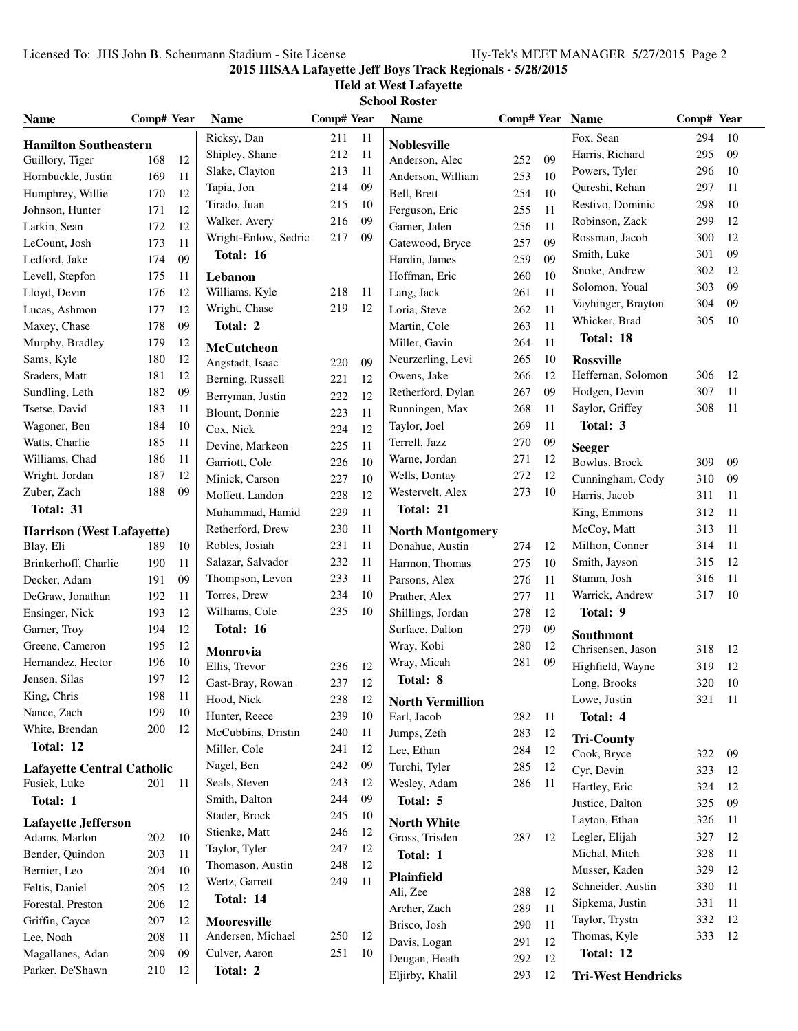### **Held at West Lafayette School Roster**

| <b>Name</b>                                 | Comp# Year |          | <b>Name</b>          | Comp# Year |    | <b>Name</b>             | Comp# Year Name |               |                           | Comp# Year |          |
|---------------------------------------------|------------|----------|----------------------|------------|----|-------------------------|-----------------|---------------|---------------------------|------------|----------|
| <b>Hamilton Southeastern</b>                |            |          | Ricksy, Dan          | 211        | 11 | <b>Noblesville</b>      |                 |               | Fox, Sean                 | 294        | 10       |
| Guillory, Tiger                             | 168        | 12       | Shipley, Shane       | 212        | 11 | Anderson, Alec          | 252             | 09            | Harris, Richard           | 295        | 09       |
| Hornbuckle, Justin                          | 169        | 11       | Slake, Clayton       | 213        | 11 | Anderson, William       | 253             | 10            | Powers, Tyler             | 296        | 10       |
| Humphrey, Willie                            | 170        | 12       | Tapia, Jon           | 214        | 09 | Bell, Brett             | 254             | 10            | Qureshi, Rehan            | 297        | 11       |
| Johnson, Hunter                             | 171        | 12       | Tirado, Juan         | 215        | 10 | Ferguson, Eric          | 255             | 11            | Restivo, Dominic          | 298        | 10       |
| Larkin, Sean                                | 172        | 12       | Walker, Avery        | 216        | 09 | Garner, Jalen           | 256             | 11            | Robinson, Zack            | 299        | 12       |
| LeCount, Josh                               | 173        | 11       | Wright-Enlow, Sedric | 217        | 09 | Gatewood, Bryce         | 257             | 09            | Rossman, Jacob            | 300        | 12       |
| Ledford, Jake                               | 174        | 09       | Total: 16            |            |    | Hardin, James           | 259             | 09            | Smith, Luke               | 301        | 09       |
| Levell, Stepfon                             | 175        | 11       | Lebanon              |            |    | Hoffman, Eric           | 260             | 10            | Snoke, Andrew             | 302        | 12       |
| Lloyd, Devin                                | 176        | 12       | Williams, Kyle       | 218        | 11 | Lang, Jack              | 261             | 11            | Solomon, Youal            | 303        | 09       |
| Lucas, Ashmon                               | 177        | 12       | Wright, Chase        | 219        | 12 | Loria, Steve            | 262             | 11            | Vayhinger, Brayton        | 304        | 09       |
| Maxey, Chase                                | 178        | 09       | Total: 2             |            |    | Martin, Cole            | 263             | 11            | Whicker, Brad             | 305        | 10       |
| Murphy, Bradley                             | 179        | 12       | <b>McCutcheon</b>    |            |    | Miller, Gavin           | 264             | 11            | Total: 18                 |            |          |
| Sams, Kyle                                  | 180        | 12       | Angstadt, Isaac      | 220        | 09 | Neurzerling, Levi       | 265             | 10            | <b>Rossville</b>          |            |          |
| Sraders, Matt                               | 181        | 12       | Berning, Russell     | 221        | 12 | Owens, Jake             | 266             | 12            | Heffernan, Solomon        | 306        | 12       |
| Sundling, Leth                              | 182        | 09       | Berryman, Justin     | 222        | 12 | Retherford, Dylan       | 267             | 09            | Hodgen, Devin             | 307        | 11       |
| Tsetse, David                               | 183        | 11       | Blount, Donnie       | 223        | 11 | Runningen, Max          | 268             | 11            | Saylor, Griffey           | 308        | 11       |
| Wagoner, Ben                                | 184        | 10       | Cox, Nick            | 224        | 12 | Taylor, Joel            | 269             | 11            | Total: 3                  |            |          |
| Watts, Charlie                              | 185        | 11       | Devine, Markeon      | 225        | 11 | Terrell, Jazz           | 270             | 09            | <b>Seeger</b>             |            |          |
| Williams, Chad                              | 186        | 11       | Garriott, Cole       | 226        | 10 | Warne, Jordan           | 271             | 12            | Bowlus, Brock             | 309        | 09       |
| Wright, Jordan                              | 187        | 12       | Minick, Carson       | 227        | 10 | Wells, Dontay           | 272             | 12            | Cunningham, Cody          | 310        | 09       |
| Zuber, Zach                                 | 188        | 09       | Moffett, Landon      | 228        | 12 | Westervelt, Alex        | 273             | 10            | Harris, Jacob             | 311        | 11       |
| Total: 31                                   |            |          | Muhammad, Hamid      | 229        | 11 | Total: 21               |                 |               | King, Emmons              | 312        | 11       |
| Harrison (West Lafayette)                   |            |          | Retherford, Drew     | 230        | 11 | <b>North Montgomery</b> |                 |               | McCoy, Matt               | 313        | 11       |
| Blay, Eli                                   | 189        | 10       | Robles, Josiah       | 231        | 11 | Donahue, Austin         | 274             | 12            | Million, Conner           | 314        | 11       |
| Brinkerhoff, Charlie                        | 190        | 11       | Salazar, Salvador    | 232        | 11 | Harmon, Thomas          | 275             | 10            | Smith, Jayson             | 315        | 12       |
| Decker, Adam                                | 191        | 09       | Thompson, Levon      | 233        | 11 | Parsons, Alex           | 276             | 11            | Stamm, Josh               | 316        | 11       |
| DeGraw, Jonathan                            | 192        | 11       | Torres, Drew         | 234        | 10 | Prather, Alex           | 277             | 11            | Warrick, Andrew           | 317        | 10       |
| Ensinger, Nick                              | 193        | 12       | Williams, Cole       | 235        | 10 | Shillings, Jordan       | 278             | 12            | Total: 9                  |            |          |
| Garner, Troy                                | 194        | 12       | Total: 16            |            |    | Surface, Dalton         | 279             | 09            | Southmont                 |            |          |
| Greene, Cameron                             | 195        | 12       | Monrovia             |            |    | Wray, Kobi              | 280             | 12            | Chrisensen, Jason         | 318        | 12       |
| Hernandez, Hector                           | 196        | 10       | Ellis, Trevor        | 236        | 12 | Wray, Micah             | 281             | 09            | Highfield, Wayne          | 319        | 12       |
| Jensen, Silas                               | 197        | 12       | Gast-Bray, Rowan     | 237        | 12 | Total: 8                |                 |               | Long, Brooks              | 320        | 10       |
| King, Chris                                 | 198        | 11       | Hood, Nick           | 238        | 12 | <b>North Vermillion</b> |                 |               | Lowe, Justin              | 321        | - 11     |
| Nance, Zach                                 | 199        | 10       | Hunter, Reece        | 239        | 10 | Earl, Jacob             | 282             | <sup>11</sup> | Total: 4                  |            |          |
| White, Brendan                              | 200        | -12      | McCubbins, Dristin   | 240        | 11 | Jumps, Zeth             | 283             | 12            |                           |            |          |
| Total: 12                                   |            |          | Miller, Cole         | 241        | 12 | Lee, Ethan              | 284             | 12            | <b>Tri-County</b>         |            |          |
| <b>Lafayette Central Catholic</b>           |            |          | Nagel, Ben           | 242        | 09 | Turchi, Tyler           | 285             | 12            | Cook, Bryce<br>Cyr, Devin | 322        | 09<br>12 |
| Fusiek, Luke                                | 201 11     |          | Seals, Steven        | 243        | 12 | Wesley, Adam            | 286             | <sup>11</sup> | Hartley, Eric             | 323<br>324 | 12       |
| Total: 1                                    |            |          | Smith, Dalton        | 244        | 09 | Total: 5                |                 |               | Justice, Dalton           | 325        | 09       |
|                                             |            |          | Stader, Brock        | 245        | 10 |                         |                 |               | Layton, Ethan             | 326        | 11       |
| <b>Lafayette Jefferson</b><br>Adams, Marlon |            |          | Stienke, Matt        | 246        | 12 | <b>North White</b>      |                 | 12            | Legler, Elijah            | 327        | 12       |
|                                             | 202        | 10<br>11 | Taylor, Tyler        | 247        | 12 | Gross, Trisden          | 287             |               | Michal, Mitch             | 328        | 11       |
| Bender, Quindon<br>Bernier, Leo             | 203<br>204 | 10       | Thomason, Austin     | 248        | 12 | Total: 1                |                 |               | Musser, Kaden             | 329        | 12       |
| Feltis, Daniel                              | 205        | 12       | Wertz, Garrett       | 249        | 11 | Plainfield              |                 |               | Schneider, Austin         | 330        | 11       |
| Forestal, Preston                           | 206        | 12       | Total: 14            |            |    | Ali, Zee                | 288             | 12            | Sipkema, Justin           | 331        | 11       |
| Griffin, Cayce                              | 207        | 12       | Mooresville          |            |    | Archer, Zach            | 289             | <sup>11</sup> | Taylor, Trystn            | 332        | 12       |
| Lee, Noah                                   | 208        | 11       | Andersen, Michael    | 250        | 12 | Brisco, Josh            | 290             | 11            | Thomas, Kyle              | 333        | 12       |
| Magallanes, Adan                            | 209        | 09       | Culver, Aaron        | 251        | 10 | Davis, Logan            | 291             | 12            | Total: 12                 |            |          |
| Parker, De'Shawn                            | 210        | 12       | Total: 2             |            |    | Deugan, Heath           | 292             | 12            |                           |            |          |
|                                             |            |          |                      |            |    | Eljirby, Khalil         | 293             | 12            | <b>Tri-West Hendricks</b> |            |          |